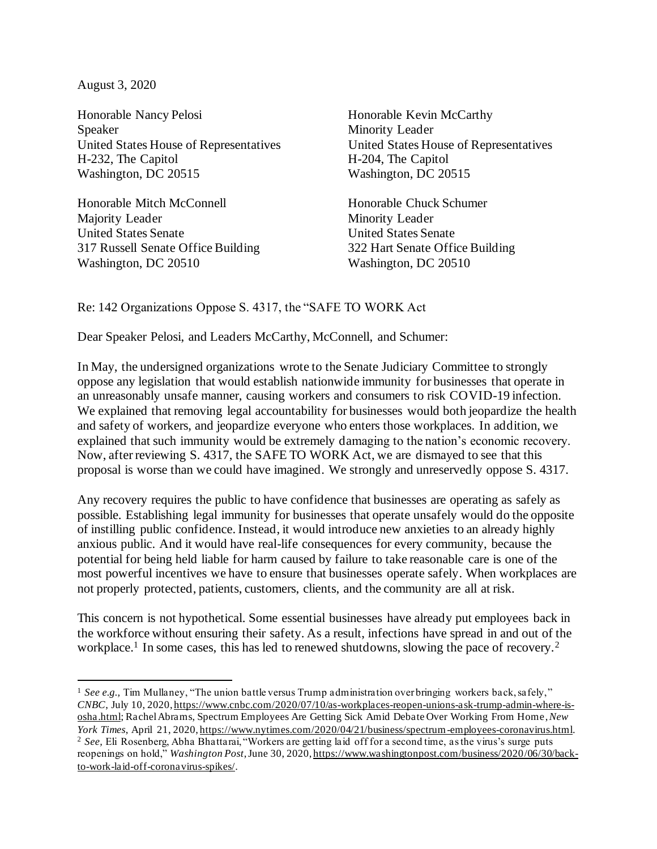August 3, 2020

Honorable Nancy Pelosi **Honorable Kevin McCarthy** Speaker Minority Leader United States House of Representatives United States House of Representatives H-232, The Capitol H-204, The Capitol Washington, DC 20515 Washington, DC 20515

Honorable Mitch McConnell Honorable Chuck Schumer Majority Leader Minority Leader United States Senate United States Senate 317 Russell Senate Office Building 322 Hart Senate Office Building Washington, DC 20510 Washington, DC 20510

## Re: 142 Organizations Oppose S. 4317, the "SAFE TO WORK Act

Dear Speaker Pelosi, and Leaders McCarthy, McConnell, and Schumer:

In May, the undersigned organizations wrote to the Senate Judiciary Committee to strongly oppose any legislation that would establish nationwide immunity for businesses that operate in an unreasonably unsafe manner, causing workers and consumers to risk COVID-19 infection. We explained that removing legal accountability for businesses would both jeopardize the health and safety of workers, and jeopardize everyone who enters those workplaces. In addition, we explained that such immunity would be extremely damaging to the nation's economic recovery. Now, after reviewing S. 4317, the SAFE TO WORK Act, we are dismayed to see that this proposal is worse than we could have imagined. We strongly and unreservedly oppose S. 4317.

Any recovery requires the public to have confidence that businesses are operating as safely as possible. Establishing legal immunity for businesses that operate unsafely would do the opposite of instilling public confidence. Instead, it would introduce new anxieties to an already highly anxious public. And it would have real-life consequences for every community, because the potential for being held liable for harm caused by failure to take reasonable care is one of the most powerful incentives we have to ensure that businesses operate safely. When workplaces are not properly protected, patients, customers, clients, and the community are all at risk.

This concern is not hypothetical. Some essential businesses have already put employees back in the workforce without ensuring their safety. As a result, infections have spread in and out of the workplace.<sup>1</sup> In some cases, this has led to renewed shutdowns, slowing the pace of recovery.<sup>2</sup>

<sup>&</sup>lt;sup>1</sup> See e.g., Tim Mullaney, "The union battle versus Trump administration over bringing workers back, safely," *CNBC*, July 10, 2020, [https://www.cnbc.com/2020/07/10/as-workplaces-reopen-unions-ask-trump-admin-where-is](https://www.cnbc.com/2020/07/10/as-workplaces-reopen-unions-ask-trump-admin-where-is-osha.html)[osha.html;](https://www.cnbc.com/2020/07/10/as-workplaces-reopen-unions-ask-trump-admin-where-is-osha.html) Rachel Abrams, Spectrum Employees Are Getting Sick Amid Debate Over Working From Home, *New York Times*, April 21, 2020[, https://www.nytimes.com/2020/04/21/business/spectrum-employees-coronavirus.html](https://www.nytimes.com/2020/04/21/business/spectrum-employees-coronavirus.html). <sup>2</sup> *See,* Eli Rosenberg, Abha Bhattarai, "Workers are getting laid off for a second time, as the virus's surge puts reopenings on hold," *Washington Post*, June 30, 2020[, https://www.washingtonpost.com/business/2020/06/30/back](https://www.washingtonpost.com/business/2020/06/30/back-to-work-laid-off-coronavirus-spikes/)[to-work-laid-off-coronavirus-spikes/.](https://www.washingtonpost.com/business/2020/06/30/back-to-work-laid-off-coronavirus-spikes/)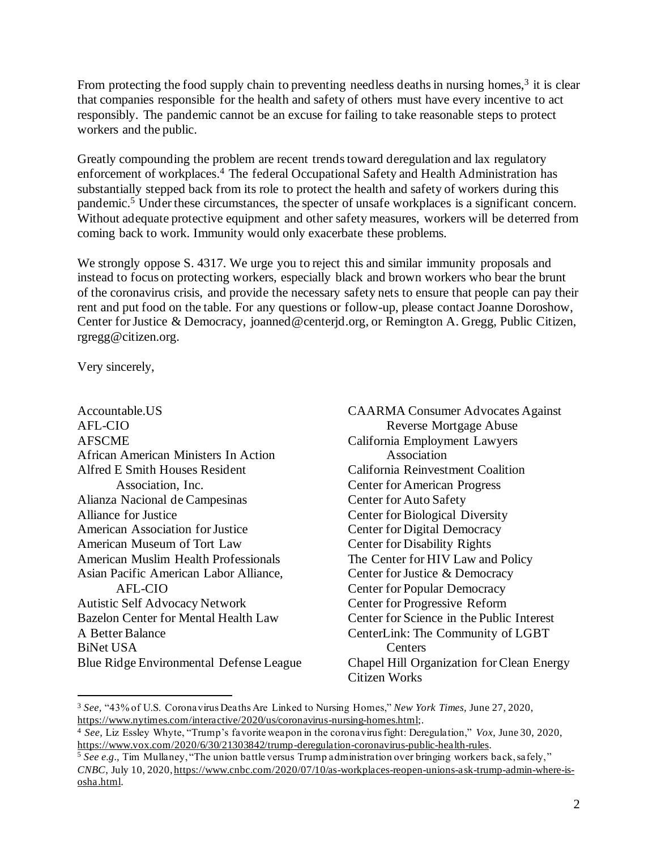From protecting the food supply chain to preventing needless deaths in nursing homes,<sup>3</sup> it is clear that companies responsible for the health and safety of others must have every incentive to act responsibly. The pandemic cannot be an excuse for failing to take reasonable steps to protect workers and the public.

Greatly compounding the problem are recent trends toward deregulation and lax regulatory enforcement of workplaces. <sup>4</sup> The federal Occupational Safety and Health Administration has substantially stepped back from its role to protect the health and safety of workers during this pandemic.<sup>5</sup> Under these circumstances, the specter of unsafe workplaces is a significant concern. Without adequate protective equipment and other safety measures, workers will be deterred from coming back to work. Immunity would only exacerbate these problems.

We strongly oppose S, 4317. We urge you to reject this and similar immunity proposals and instead to focus on protecting workers, especially black and brown workers who bear the brunt of the coronavirus crisis, and provide the necessary safety nets to ensure that people can pay their rent and put food on the table. For any questions or follow-up, please contact Joanne Doroshow, Center for Justice & Democracy, joanned@centerjd.org, or Remington A. Gregg, Public Citizen, rgregg@citizen.org.

Very sincerely,

| Accountable.US                              | <b>CAARMA</b> Consumer Advocates Against  |
|---------------------------------------------|-------------------------------------------|
| AFL-CIO                                     | <b>Reverse Mortgage Abuse</b>             |
|                                             |                                           |
| <b>AFSCME</b>                               | California Employment Lawyers             |
| African American Ministers In Action        | Association                               |
| Alfred E Smith Houses Resident              | California Reinvestment Coalition         |
| Association, Inc.                           | <b>Center for American Progress</b>       |
| Alianza Nacional de Campesinas              | <b>Center for Auto Safety</b>             |
| <b>Alliance for Justice</b>                 | <b>Center for Biological Diversity</b>    |
| <b>American Association for Justice</b>     | <b>Center for Digital Democracy</b>       |
| American Museum of Tort Law                 | <b>Center for Disability Rights</b>       |
| <b>American Muslim Health Professionals</b> | The Center for HIV Law and Policy         |
| Asian Pacific American Labor Alliance,      | Center for Justice & Democracy            |
| <b>AFL-CIO</b>                              | <b>Center for Popular Democracy</b>       |
| <b>Autistic Self Advocacy Network</b>       | <b>Center for Progressive Reform</b>      |
| <b>Bazelon Center for Mental Health Law</b> | Center for Science in the Public Interest |
| A Better Balance                            | CenterLink: The Community of LGBT         |
| <b>BiNet USA</b>                            | Centers                                   |
| Blue Ridge Environmental Defense League     | Chapel Hill Organization for Clean Energy |
|                                             | Citizen Works                             |

<sup>3</sup> *See,* "43% of U.S. Coronavirus Deaths Are Linked to Nursing Homes," *New York Times,* June 27, 2020, [https://www.nytimes.com/interactive/2020/us/coronavirus-nursing-homes.html;](https://www.nytimes.com/interactive/2020/us/coronavirus-nursing-homes.html).

<sup>4</sup> *See,* Liz Essley Whyte, "Trump's favorite weapon in the coronavirus fight: Deregulation," *Vox*, June 30, 2020, [https://www.vox.com/2020/6/30/21303842/trump-deregulation-coronavirus-public-health-rules.](https://www.vox.com/2020/6/30/21303842/trump-deregulation-coronavirus-public-health-rules)

<sup>5</sup> *See e.g.,* Tim Mullaney, "The union battle versus Trump administration over bringing workers back, safely," *CNBC*, July 10, 2020, [https://www.cnbc.com/2020/07/10/as-workplaces-reopen-unions-ask-trump-admin-where-is](https://www.cnbc.com/2020/07/10/as-workplaces-reopen-unions-ask-trump-admin-where-is-osha.html)[osha.html.](https://www.cnbc.com/2020/07/10/as-workplaces-reopen-unions-ask-trump-admin-where-is-osha.html)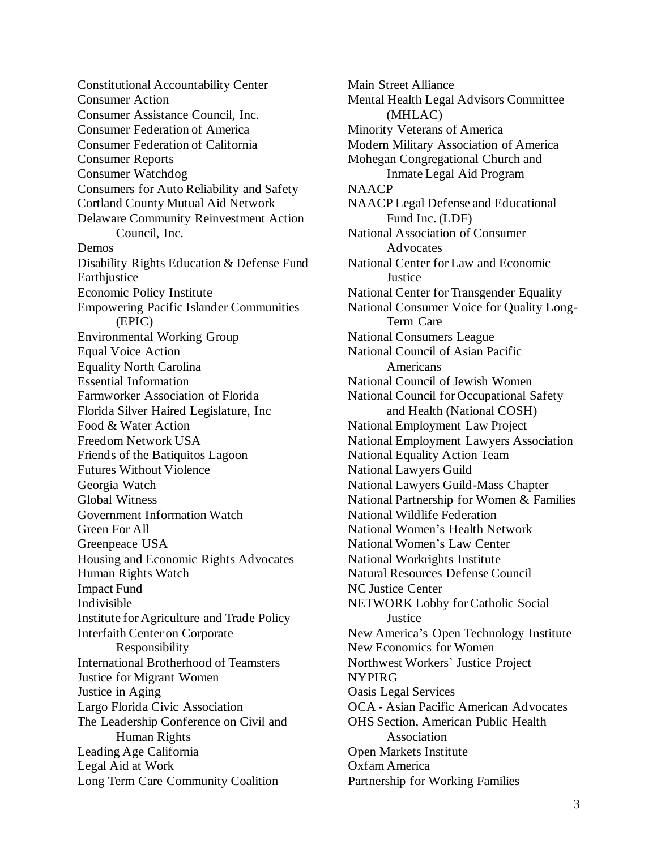Constitutional Accountability Center Consumer Action Consumer Assistance Council, Inc. Consumer Federation of America Consumer Federation of California Consumer Reports Consumer Watchdog Consumers for Auto Reliability and Safety Cortland County Mutual Aid Network Delaware Community Reinvestment Action Council, Inc. Demos Disability Rights Education & Defense Fund **Earthjustice** Economic Policy Institute Empowering Pacific Islander Communities (EPIC) Environmental Working Group Equal Voice Action Equality North Carolina Essential Information Farmworker Association of Florida Florida Silver Haired Legislature, Inc Food & Water Action Freedom Network USA Friends of the Batiquitos Lagoon Futures Without Violence Georgia Watch Global Witness Government Information Watch Green For All Greenpeace USA Housing and Economic Rights Advocates Human Rights Watch Impact Fund Indivisible Institute for Agriculture and Trade Policy Interfaith Center on Corporate Responsibility International Brotherhood of Teamsters Justice for Migrant Women Justice in Aging Largo Florida Civic Association The Leadership Conference on Civil and Human Rights Leading Age California Legal Aid at Work Long Term Care Community Coalition

Main Street Alliance Mental Health Legal Advisors Committee (MHLAC) Minority Veterans of America Modern Military Association of America Mohegan Congregational Church and Inmate Legal Aid Program **NAACP** NAACP Legal Defense and Educational Fund Inc. (LDF) National Association of Consumer Advocates National Center for Law and Economic Justice National Center for Transgender Equality National Consumer Voice for Quality Long-Term Care National Consumers League National Council of Asian Pacific Americans National Council of Jewish Women National Council for Occupational Safety and Health (National COSH) National Employment Law Project National Employment Lawyers Association National Equality Action Team National Lawyers Guild National Lawyers Guild-Mass Chapter National Partnership for Women & Families National Wildlife Federation National Women's Health Network National Women's Law Center National Workrights Institute Natural Resources Defense Council NC Justice Center NETWORK Lobby for Catholic Social Justice New America's Open Technology Institute New Economics for Women Northwest Workers' Justice Project NYPIRG Oasis Legal Services OCA - Asian Pacific American Advocates OHS Section, American Public Health Association Open Markets Institute Oxfam America Partnership for Working Families